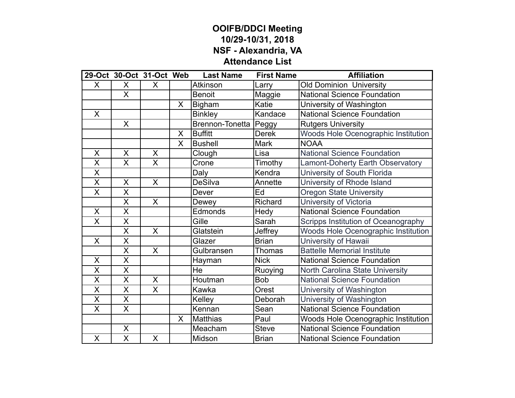## **OOIFB/DDCI Meeting 10/29-10/31, 2018 NSF - Alexandria, VA Attendance List**

|                         | 29-Oct 30-Oct 31-Oct Web |              |              | <b>Last Name</b> | <b>First Name</b> | <b>Affiliation</b>                         |
|-------------------------|--------------------------|--------------|--------------|------------------|-------------------|--------------------------------------------|
| X                       | X                        | X            |              | Atkinson         | Larry             | <b>Old Dominion University</b>             |
|                         | $\mathsf{X}$             |              |              | <b>Benoit</b>    | Maggie            | <b>National Science Foundation</b>         |
|                         |                          |              | X            | <b>Bigham</b>    | Katie             | University of Washington                   |
| X                       |                          |              |              | <b>Binkley</b>   | Kandace           | <b>National Science Foundation</b>         |
|                         | $\sf X$                  |              |              | Brennon-Tonetta  | Peggy             | <b>Rutgers University</b>                  |
|                         |                          |              | X            | <b>Buffitt</b>   | <b>Derek</b>      | Woods Hole Ocenographic Institution        |
|                         |                          |              | X            | <b>Bushell</b>   | <b>Mark</b>       | <b>NOAA</b>                                |
| X                       | X                        | $\mathsf{X}$ |              | Clough           | Lisa              | <b>National Science Foundation</b>         |
| X                       | $\sf X$                  | $\mathsf{X}$ |              | Crone            | Timothy           | Lamont-Doherty Earth Observatory           |
| $\overline{\sf x}$      |                          |              |              | Daly             | Kendra            | University of South Florida                |
| X                       | X                        | $\mathsf{X}$ |              | <b>DeSilva</b>   | Annette           | University of Rhode Island                 |
| X                       | X                        |              |              | Dever            | Ed                | <b>Oregon State University</b>             |
|                         | $\overline{\mathsf{x}}$  | $\mathsf{X}$ |              | Dewey            | Richard           | University of Victoria                     |
| X                       | X                        |              |              | Edmonds          | Hedy              | <b>National Science Foundation</b>         |
| X                       | $\overline{\mathsf{x}}$  |              |              | Gille            | Sarah             | Scripps Institution of Oceanography        |
|                         | $\overline{\mathsf{X}}$  | X            |              | Glatstein        | Jeffrey           | <b>Woods Hole Ocenographic Institution</b> |
| X                       | X                        |              |              | Glazer           | <b>Brian</b>      | University of Hawaii                       |
|                         | X                        | $\mathsf{X}$ |              | Gulbransen       | <b>Thomas</b>     | <b>Battelle Memorial Institute</b>         |
| $\sf X$                 | $\overline{\mathsf{X}}$  |              |              | Hayman           | <b>Nick</b>       | <b>National Science Foundation</b>         |
| $\overline{\sf x}$      | $\overline{\mathsf{X}}$  |              |              | He               | Ruoying           | North Carolina State University            |
| X                       | X                        | X            |              | Houtman          | <b>Bob</b>        | <b>National Science Foundation</b>         |
| X                       | X                        | X            |              | Kawka            | Orest             | University of Washington                   |
| $\overline{\mathsf{x}}$ | $\overline{\mathsf{x}}$  |              |              | Kelley           | Deborah           | University of Washington                   |
| X                       | $\mathsf{X}$             |              |              | Kennan           | Sean              | <b>National Science Foundation</b>         |
|                         |                          |              | $\mathsf{X}$ | <b>Matthias</b>  | Paul              | Woods Hole Ocenographic Institution        |
|                         | $\mathsf{X}$             |              |              | Meacham          | <b>Steve</b>      | <b>National Science Foundation</b>         |
| X                       | X                        | X            |              | Midson           | <b>Brian</b>      | <b>National Science Foundation</b>         |